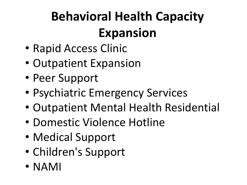# **Behavioral Health Capacity Expansion**

- Rapid Access Clinic
- Outpatient Expansion
- Peer Support
- Psychiatric Emergency Services
- Outpatient Mental Health Residential
- Domestic Violence Hotline
- Medical Support
- Children's Support
- NAMI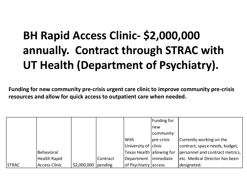## **BH Rapid Access Clinic- \$2,000,000 annually. Contract through STRAC with UT Health (Department of Psychiatry).**

**Funding for new community pre-crisis urgent care clinic to improve community pre-crisis resources and allow for quick access to outpatient care when needed.**

|              |                      |             |          |                           | Funding for |                                 |
|--------------|----------------------|-------------|----------|---------------------------|-------------|---------------------------------|
|              |                      |             |          |                           | <b>Inew</b> |                                 |
|              |                      |             |          |                           | community   |                                 |
|              |                      |             |          | With                      | pre-crisis  | Currently working on the        |
|              |                      |             |          | University of clinic      |             | contract, space needs, budget,  |
|              | Behavioral           |             |          | Texas Health allowing for |             | personnel and contract metrics, |
|              | <b>Health Rapid</b>  |             | Contract | Department   immediate    |             | etc. Medical Director has been  |
| <b>STRAC</b> | <b>Access Clinic</b> | \$2,000,000 | pending  | of Psychiatry access      |             | designated.                     |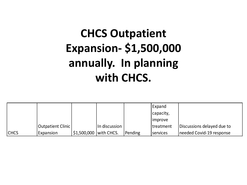#### **CHCS Outpatient Expansion- \$1,500,000 annually. In planning with CHCS.**

|             |                          |                                      |               |         | Expand            |                            |
|-------------|--------------------------|--------------------------------------|---------------|---------|-------------------|----------------------------|
|             |                          |                                      |               |         | capacity,         |                            |
|             |                          |                                      |               |         | <i>limprove</i>   |                            |
|             | <b>Outpatient Clinic</b> |                                      | In discussion |         | <b>Itreatment</b> | Discussions delayed due to |
| <b>CHCS</b> | <b>Expansion</b>         | $\frac{1}{2}$ \$1,500,000 with CHCS. |               | Pending | <b>I</b> services | needed Covid-19 response   |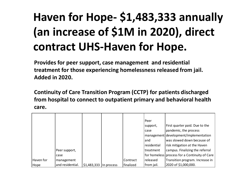# **Haven for Hope- \$1,483,333 annually (an increase of \$1M in 2020), direct contract UHS-Haven for Hope.**

**Provides for peer support, case management and residential treatment for those experiencing homelessness released from jail. Added in 2020.**

**Continuity of Care Transition Program (CCTP) for patients discharged from hospital to connect to outpatient primary and behavioral health care.**

|           |                  |                          |           | Peer        |                                                 |
|-----------|------------------|--------------------------|-----------|-------------|-------------------------------------------------|
|           |                  |                          |           | support,    | First quarter paid. Due to the                  |
|           |                  |                          |           | case        | pandemic, the process                           |
|           |                  |                          |           |             | management development/implementation           |
|           |                  |                          |           | land        | was slowed down because of                      |
|           |                  |                          |           | residential | risk mitigation at the Haven                    |
|           | Peer support,    |                          |           | Itreatment  | campus. Finalizing the referral                 |
|           | case             |                          |           |             | for homeless   process for a Continuity of Care |
| Haven for | management       |                          | Contract  | released    | Transition program. Increase in                 |
| Hope      | and residential. | $$1,483,333$  In process | finalized | from jail.  | 2020 of \$1,000,000.                            |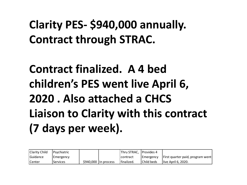#### **Clarity PES- \$940,000 annually. Contract through STRAC.**

## **Contract finalized. A 4 bed children's PES went live April 6, 2020 . Also attached a CHCS Liaison to Clarity with this contract (7 days per week).**

| <b>Clarity Child</b> | <b>I</b> Psychiatric |                        | Thru STRAC, Provides 4  |            |                                  |
|----------------------|----------------------|------------------------|-------------------------|------------|----------------------------------|
| Guidance             | Emergency            |                        | Icontract               | Emergency  | First quarter paid, program went |
| <b>Center</b>        | <b>Services</b>      | \$940,000   In process | <sup>I</sup> finalized. | Child beds | Ilive April 6, 2020.             |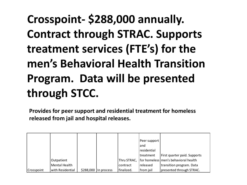# **Crosspoint- \$288,000 annually. Contract through STRAC. Supports treatment services (FTE's) for the men's Behavioral Health Transition Program. Data will be presented through STCC.**

**Provides for peer support and residential treatment for homeless released from jail and hospital releases.**

|            |                  |           |            |              | Peer support |                                        |
|------------|------------------|-----------|------------|--------------|--------------|----------------------------------------|
|            |                  |           |            |              | land         |                                        |
|            |                  |           |            |              | residential  |                                        |
|            |                  |           |            |              | Itreatment   | First quarter paid. Supports           |
|            | Outpatient       |           |            | lThru STRAC. |              | for homeless   men's behavioral health |
|            | Mental Health    |           |            | contract     | released     | transition program. Data               |
| Crosspoint | with Residential | \$288,000 | In process | finalized.   | from jail    | presented through STRAC.               |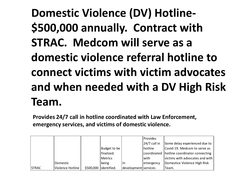**Domestic Violence (DV) Hotline- \$500,000 annually. Contract with STRAC. Medcom will serve as a domestic violence referral hotline to connect victims with victim advocates and when needed with a DV High Risk Team.** 

**Provides 24/7 call in hotline coordinated with Law Enforcement, emergency services, and victims of domestic violence.**

|              |                  |           |                |                      | l Provides     |                                            |
|--------------|------------------|-----------|----------------|----------------------|----------------|--------------------------------------------|
|              |                  |           |                |                      | $24/7$ call in | Some delay experienced due to              |
|              |                  |           | Budget to be   |                      | hotline        | Covid-19. Medcom to serve as               |
|              |                  |           | finalized.     |                      |                | coordinated hotline coordinator connecting |
|              |                  |           | <b>Metrics</b> |                      | with           | victims with advocates and with            |
|              | Domestic         |           | being          | lln                  | emergency      | Domestice Violence High Risk               |
| <b>STRAC</b> | Violence Hotline | \$500,000 | identified.    | development services |                | Team.                                      |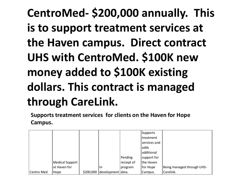# **CentroMed- \$200,000 annually. This is to support treatment services at the Haven campus. Direct contract UHS with CentroMed. \$100K new money added to \$100K existing dollars. This contract is managed through CareLink.**

**Supports treatment services for clients on the Haven for Hope Campus.**

|            |                 |           |                   |            | <b>Supports</b> |                            |
|------------|-----------------|-----------|-------------------|------------|-----------------|----------------------------|
|            |                 |           |                   |            | treatment       |                            |
|            |                 |           |                   |            | services and    |                            |
|            |                 |           |                   |            | ladds           |                            |
|            |                 |           |                   |            | additional      |                            |
|            |                 |           |                   | Pending    | support for     |                            |
|            | Medical Support |           |                   | reciept of | the Haven       |                            |
|            | at Haven for    |           | lln               | program    | for Hope        | Being managed through UHS- |
| Centro Med | Hope            | \$200,000 | development data. |            | Campus.         | Carelink.                  |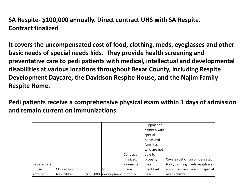**SA Respite- \$100,000 annually. Direct contract UHS with SA Respite. Contract finalized**

**It covers the uncompensated cost of food, clothing, meds, eyeglasses and other basic needs of special needs kids. They provide health screening and preventative care to pedi patients with medical, intellectual and developmental disabilities at various locations throughout Bexar County, including Respite Development Daycare, the Davidson Respite House, and the Najim Family Respite Home.** 

**Pedi patients receive a comprehensive physical exam within 3 days of admission and remain current on immunizations.**

|                     |                  |           |                        |            | Support for   |                                  |
|---------------------|------------------|-----------|------------------------|------------|---------------|----------------------------------|
|                     |                  |           |                        |            | children with |                                  |
|                     |                  |           |                        |            | special       |                                  |
|                     |                  |           |                        |            | needs and     |                                  |
|                     |                  |           |                        |            | lfamilites    |                                  |
|                     |                  |           |                        |            | who are not   |                                  |
|                     |                  |           |                        | Contract   | able to       |                                  |
|                     |                  |           |                        | finalized. | properly      | Covers cost of uncompensated     |
| <b>Respite Care</b> |                  |           |                        | Payments   | meet          | food, clothing, meds, eyeglasses |
| of San              | Clinical support |           | In.                    | made       | lidentified   | and other basic needs of special |
| Antonio             | for Children     | \$100,000 | development   monthly. |            | needs.        | needs children.                  |